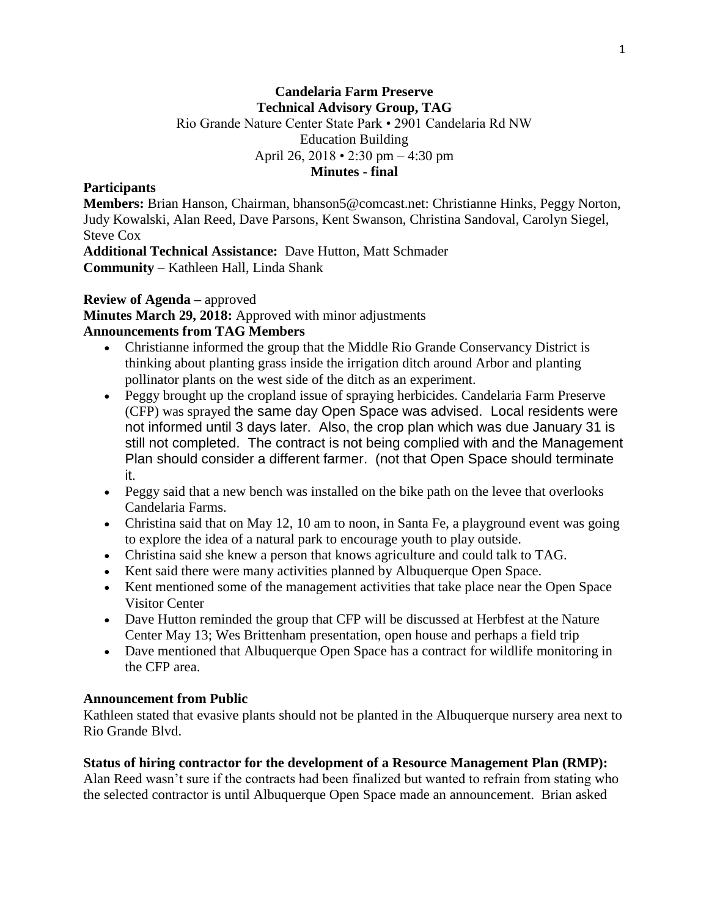### **Candelaria Farm Preserve Technical Advisory Group, TAG** Rio Grande Nature Center State Park • 2901 Candelaria Rd NW Education Building April 26, 2018 • 2:30 pm – 4:30 pm **Minutes - final**

#### **Participants**

**Members:** Brian Hanson, Chairman, bhanson5@comcast.net: Christianne Hinks, Peggy Norton, Judy Kowalski, Alan Reed, Dave Parsons, Kent Swanson, Christina Sandoval, Carolyn Siegel, Steve Cox

**Additional Technical Assistance:** Dave Hutton, Matt Schmader **Community** – Kathleen Hall, Linda Shank

#### **Review of Agenda –** approved

**Minutes March 29, 2018:** Approved with minor adjustments

### **Announcements from TAG Members**

- Christianne informed the group that the Middle Rio Grande Conservancy District is thinking about planting grass inside the irrigation ditch around Arbor and planting pollinator plants on the west side of the ditch as an experiment.
- Peggy brought up the cropland issue of spraying herbicides. Candelaria Farm Preserve (CFP) was sprayed the same day Open Space was advised. Local residents were not informed until 3 days later. Also, the crop plan which was due January 31 is still not completed. The contract is not being complied with and the Management Plan should consider a different farmer. (not that Open Space should terminate it.
- Peggy said that a new bench was installed on the bike path on the levee that overlooks Candelaria Farms.
- Christina said that on May 12, 10 am to noon, in Santa Fe, a playground event was going to explore the idea of a natural park to encourage youth to play outside.
- Christina said she knew a person that knows agriculture and could talk to TAG.
- Kent said there were many activities planned by Albuquerque Open Space.
- Kent mentioned some of the management activities that take place near the Open Space Visitor Center
- Dave Hutton reminded the group that CFP will be discussed at Herbfest at the Nature Center May 13; Wes Brittenham presentation, open house and perhaps a field trip
- Dave mentioned that Albuquerque Open Space has a contract for wildlife monitoring in the CFP area.

#### **Announcement from Public**

Kathleen stated that evasive plants should not be planted in the Albuquerque nursery area next to Rio Grande Blvd.

#### **Status of hiring contractor for the development of a Resource Management Plan (RMP):**

Alan Reed wasn't sure if the contracts had been finalized but wanted to refrain from stating who the selected contractor is until Albuquerque Open Space made an announcement. Brian asked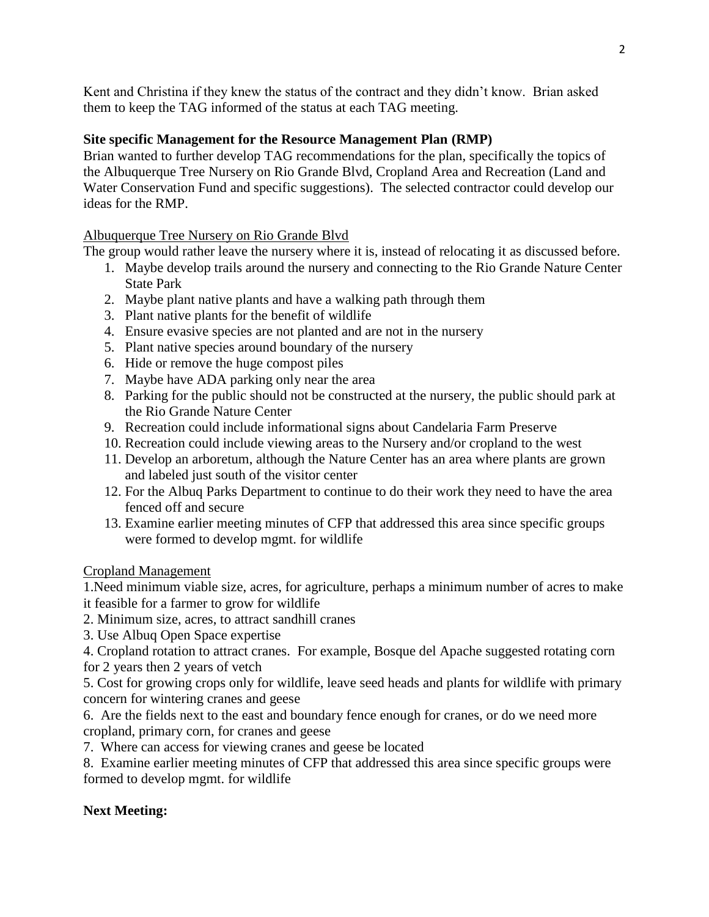Kent and Christina if they knew the status of the contract and they didn't know. Brian asked them to keep the TAG informed of the status at each TAG meeting.

### **Site specific Management for the Resource Management Plan (RMP)**

Brian wanted to further develop TAG recommendations for the plan, specifically the topics of the Albuquerque Tree Nursery on Rio Grande Blvd, Cropland Area and Recreation (Land and Water Conservation Fund and specific suggestions). The selected contractor could develop our ideas for the RMP.

## Albuquerque Tree Nursery on Rio Grande Blvd

The group would rather leave the nursery where it is, instead of relocating it as discussed before.

- 1. Maybe develop trails around the nursery and connecting to the Rio Grande Nature Center State Park
- 2. Maybe plant native plants and have a walking path through them
- 3. Plant native plants for the benefit of wildlife
- 4. Ensure evasive species are not planted and are not in the nursery
- 5. Plant native species around boundary of the nursery
- 6. Hide or remove the huge compost piles
- 7. Maybe have ADA parking only near the area
- 8. Parking for the public should not be constructed at the nursery, the public should park at the Rio Grande Nature Center
- 9. Recreation could include informational signs about Candelaria Farm Preserve
- 10. Recreation could include viewing areas to the Nursery and/or cropland to the west
- 11. Develop an arboretum, although the Nature Center has an area where plants are grown and labeled just south of the visitor center
- 12. For the Albuq Parks Department to continue to do their work they need to have the area fenced off and secure
- 13. Examine earlier meeting minutes of CFP that addressed this area since specific groups were formed to develop mgmt. for wildlife

Cropland Management

1.Need minimum viable size, acres, for agriculture, perhaps a minimum number of acres to make it feasible for a farmer to grow for wildlife

- 2. Minimum size, acres, to attract sandhill cranes
- 3. Use Albuq Open Space expertise

4. Cropland rotation to attract cranes. For example, Bosque del Apache suggested rotating corn for 2 years then 2 years of vetch

5. Cost for growing crops only for wildlife, leave seed heads and plants for wildlife with primary concern for wintering cranes and geese

6. Are the fields next to the east and boundary fence enough for cranes, or do we need more cropland, primary corn, for cranes and geese

7. Where can access for viewing cranes and geese be located

8. Examine earlier meeting minutes of CFP that addressed this area since specific groups were formed to develop mgmt. for wildlife

# **Next Meeting:**